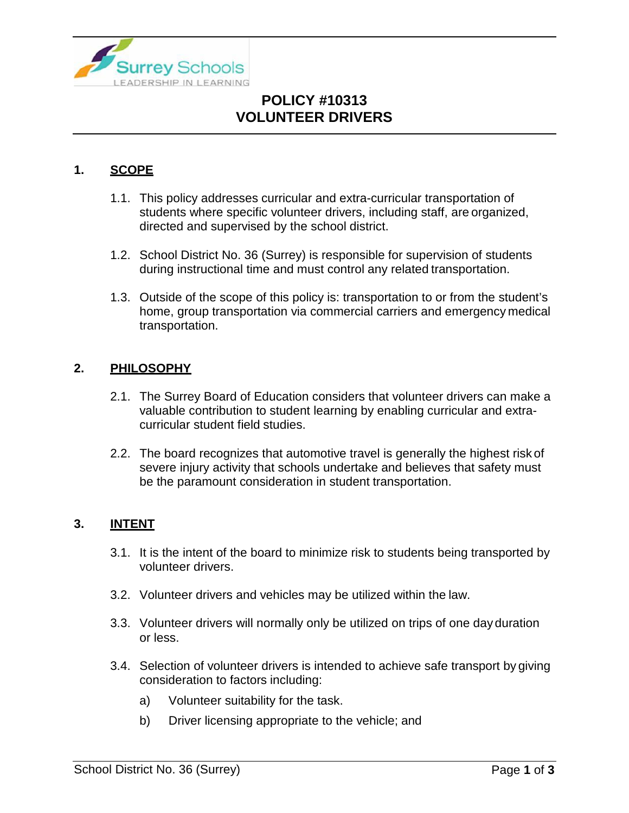

# **POLICY #10313 VOLUNTEER DRIVERS**

### **1. SCOPE**

- 1.1. This policy addresses curricular and extra-curricular transportation of students where specific volunteer drivers, including staff, are organized, directed and supervised by the school district.
- 1.2. School District No. 36 (Surrey) is responsible for supervision of students during instructional time and must control any related transportation.
- 1.3. Outside of the scope of this policy is: transportation to or from the student's home, group transportation via commercial carriers and emergency medical transportation.

#### **2. PHILOSOPHY**

- 2.1. The Surrey Board of Education considers that volunteer drivers can make a valuable contribution to student learning by enabling curricular and extracurricular student field studies.
- 2.2. The board recognizes that automotive travel is generally the highest risk of severe injury activity that schools undertake and believes that safety must be the paramount consideration in student transportation.

#### **3. INTENT**

- 3.1. It is the intent of the board to minimize risk to students being transported by volunteer drivers.
- 3.2. Volunteer drivers and vehicles may be utilized within the law.
- 3.3. Volunteer drivers will normally only be utilized on trips of one day duration or less.
- 3.4. Selection of volunteer drivers is intended to achieve safe transport by giving consideration to factors including:
	- a) Volunteer suitability for the task.
	- b) Driver licensing appropriate to the vehicle; and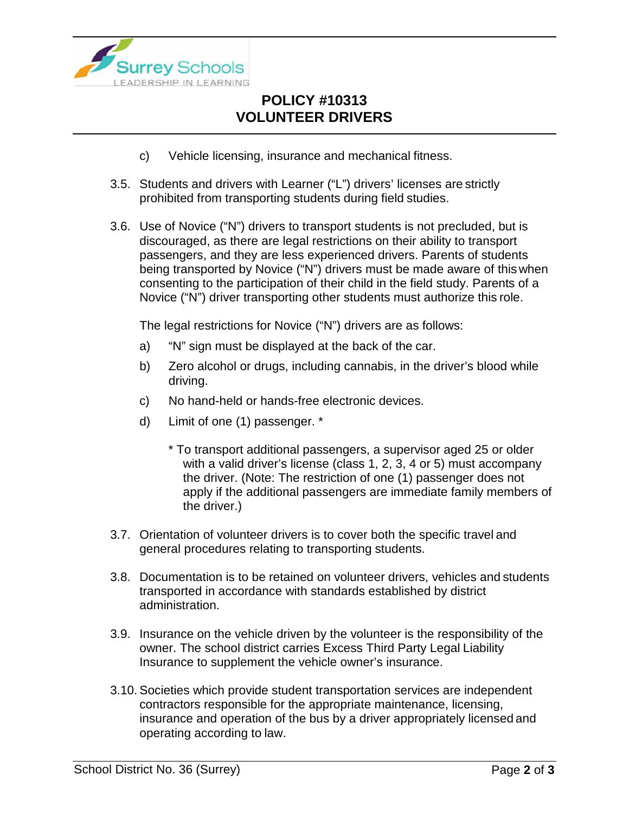

# **POLICY #10313 VOLUNTEER DRIVERS**

- c) Vehicle licensing, insurance and mechanical fitness.
- 3.5. Students and drivers with Learner ("L") drivers' licenses are strictly prohibited from transporting students during field studies.
- 3.6. Use of Novice ("N") drivers to transport students is not precluded, but is discouraged, as there are legal restrictions on their ability to transport passengers, and they are less experienced drivers. Parents of students being transported by Novice ("N") drivers must be made aware of this when consenting to the participation of their child in the field study. Parents of a Novice ("N") driver transporting other students must authorize this role.

The legal restrictions for Novice ("N") drivers are as follows:

- a) "N" sign must be displayed at the back of the car.
- b) Zero alcohol or drugs, including cannabis, in the driver's blood while driving.
- c) No hand-held or hands-free electronic devices.
- d) Limit of one (1) passenger. \*
	- \* To transport additional passengers, a supervisor aged 25 or older with a valid driver's license (class 1, 2, 3, 4 or 5) must accompany the driver. (Note: The restriction of one (1) passenger does not apply if the additional passengers are immediate family members of the driver.)
- 3.7. Orientation of volunteer drivers is to cover both the specific travel and general procedures relating to transporting students.
- 3.8. Documentation is to be retained on volunteer drivers, vehicles and students transported in accordance with standards established by district administration.
- 3.9. Insurance on the vehicle driven by the volunteer is the responsibility of the owner. The school district carries Excess Third Party Legal Liability Insurance to supplement the vehicle owner's insurance.
- 3.10. Societies which provide student transportation services are independent contractors responsible for the appropriate maintenance, licensing, insurance and operation of the bus by a driver appropriately licensed and operating according to law.